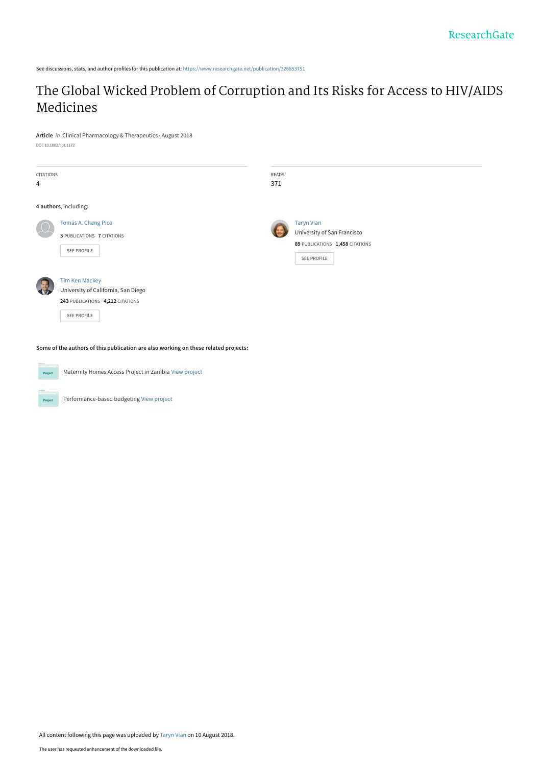See discussions, stats, and author profiles for this publication at: [https://www.researchgate.net/publication/326853751](https://www.researchgate.net/publication/326853751_The_Global_Wicked_Problem_of_Corruption_and_Its_Risks_for_Access_to_HIVAIDS_Medicines?enrichId=rgreq-789846e35d1907e8894f4e785a1f1acf-XXX&enrichSource=Y292ZXJQYWdlOzMyNjg1Mzc1MTtBUzo2NTgwNzgyMzYxNzIyOTVAMTUzMzkwOTQ4NjgzNA%3D%3D&el=1_x_2&_esc=publicationCoverPdf)

### [The Global Wicked Problem of Corruption and Its Risks for Access to HIV/AIDS](https://www.researchgate.net/publication/326853751_The_Global_Wicked_Problem_of_Corruption_and_Its_Risks_for_Access_to_HIVAIDS_Medicines?enrichId=rgreq-789846e35d1907e8894f4e785a1f1acf-XXX&enrichSource=Y292ZXJQYWdlOzMyNjg1Mzc1MTtBUzo2NTgwNzgyMzYxNzIyOTVAMTUzMzkwOTQ4NjgzNA%3D%3D&el=1_x_3&_esc=publicationCoverPdf) Medicines

**Article** in Clinical Pharmacology & Therapeutics · August 2018

| DOI: 10.1002/cpt.1172 |  |  |
|-----------------------|--|--|
|                       |  |  |
|                       |  |  |

| CITATIONS<br>$\overline{4}$ |                                                                                                                 | READS<br>371 |                                                                                                    |  |
|-----------------------------|-----------------------------------------------------------------------------------------------------------------|--------------|----------------------------------------------------------------------------------------------------|--|
|                             | 4 authors, including:                                                                                           |              |                                                                                                    |  |
|                             | Tomás A. Chang Pico<br>3 PUBLICATIONS 7 CITATIONS<br>SEE PROFILE                                                |              | <b>Taryn Vian</b><br>University of San Francisco<br>89 PUBLICATIONS 1,458 CITATIONS<br>SEE PROFILE |  |
|                             | <b>Tim Ken Mackey</b><br>University of California, San Diego<br>243 PUBLICATIONS 4,212 CITATIONS<br>SEE PROFILE |              |                                                                                                    |  |

**Some of the authors of this publication are also working on these related projects:**



Performance-based budgeting [View project](https://www.researchgate.net/project/Performance-based-budgeting-2?enrichId=rgreq-789846e35d1907e8894f4e785a1f1acf-XXX&enrichSource=Y292ZXJQYWdlOzMyNjg1Mzc1MTtBUzo2NTgwNzgyMzYxNzIyOTVAMTUzMzkwOTQ4NjgzNA%3D%3D&el=1_x_9&_esc=publicationCoverPdf)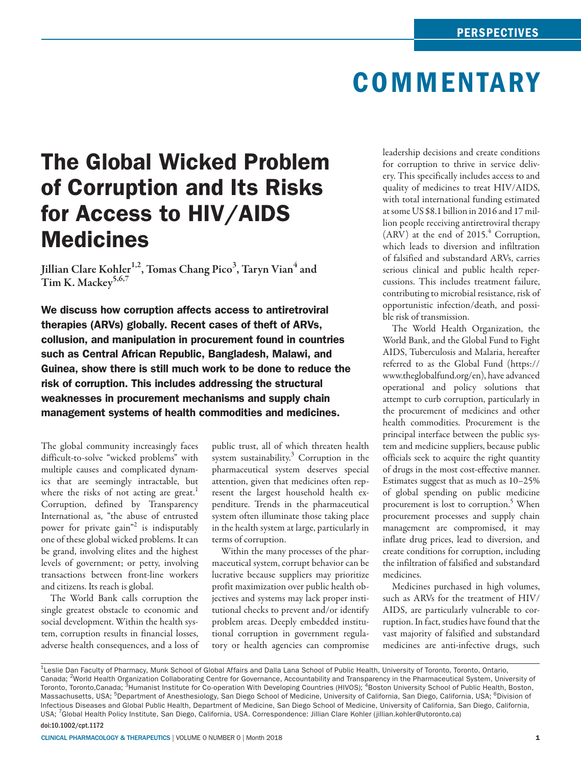# **COMMENTARY**

## The Global Wicked Problem of Corruption and Its Risks for Access to HIV/AIDS Medicines

Jillian Clare Kohler<sup>1,2</sup>, Tomas Chang Pico<sup>3</sup>, Taryn Vian<sup>4</sup> and Tim K. Mackey<sup>5,6,7</sup>

We discuss how corruption affects access to antiretroviral therapies (ARVs) globally. Recent cases of theft of ARVs, collusion, and manipulation in procurement found in countries such as Central African Republic, Bangladesh, Malawi, and Guinea, show there is still much work to be done to reduce the risk of corruption. This includes addressing the structural weaknesses in procurement mechanisms and supply chain management systems of health commodities and medicines.

The global community increasingly faces difficult-to-solve "wicked problems" with multiple causes and complicated dynamics that are seemingly intractable, but where the risks of not acting are great.<sup>1</sup> Corruption, defined by Transparency International as, "the abuse of entrusted power for private gain<sup>"2</sup> is indisputably one of these global wicked problems. It can be grand, involving elites and the highest levels of government; or petty, involving transactions between front-line workers and citizens. Its reach is global.

The World Bank calls corruption the single greatest obstacle to economic and social development. Within the health system, corruption results in financial losses, adverse health consequences, and a loss of public trust, all of which threaten health system sustainability. $3$  Corruption in the pharmaceutical system deserves special attention, given that medicines often represent the largest household health expenditure. Trends in the pharmaceutical system often illuminate those taking place in the health system at large, particularly in terms of corruption.

Within the many processes of the pharmaceutical system, corrupt behavior can be lucrative because suppliers may prioritize profit maximization over public health objectives and systems may lack proper institutional checks to prevent and/or identify problem areas. Deeply embedded institutional corruption in government regulatory or health agencies can compromise leadership decisions and create conditions for corruption to thrive in service delivery. This specifically includes access to and quality of medicines to treat HIV/AIDS, with total international funding estimated at some US \$8.1 billion in 2016 and 17 million people receiving antiretroviral therapy (ARV) at the end of 2015.4 Corruption, which leads to diversion and infiltration of falsified and substandard ARVs, carries serious clinical and public health repercussions. This includes treatment failure, contributing to microbial resistance, risk of opportunistic infection/death, and possible risk of transmission.

The World Health Organization, the World Bank, and the Global Fund to Fight AIDS, Tuberculosis and Malaria, hereafter referred to as the Global Fund ([https://](https://www.theglobalfund.org/en) [www.theglobalfund.org/en\)](https://www.theglobalfund.org/en), have advanced operational and policy solutions that attempt to curb corruption, particularly in the procurement of medicines and other health commodities. Procurement is the principal interface between the public system and medicine suppliers, because public officials seek to acquire the right quantity of drugs in the most cost-effective manner. Estimates suggest that as much as 10–25% of global spending on public medicine procurement is lost to corruption.<sup>5</sup> When procurement processes and supply chain management are compromised, it may inflate drug prices, lead to diversion, and create conditions for corruption, including the infiltration of falsified and substandard medicines.

Medicines purchased in high volumes, such as ARVs for the treatment of HIV/ AIDS, are particularly vulnerable to corruption. In fact, studies have found that the vast majority of falsified and substandard medicines are anti-infective drugs, such

<sup>1</sup> Leslie Dan Faculty of Pharmacy, Munk School of Global Affairs and Dalla Lana School of Public Health, University of Toronto, Toronto, Ontario, Canada; <sup>2</sup>World Health Organization Collaborating Centre for Governance, Accountability and Transparency in the Pharmaceutical System, University of Toronto, Toronto,Canada; <sup>3</sup>Humanist Institute for Co-operation With Developing Countries (HIVOS); <sup>4</sup>Boston University School of Public Health, Boston, Massachusetts, USA; <sup>5</sup>Department of Anesthesiology, San Diego School of Medicine, University of California, San Diego, California, USA; <sup>6</sup>Division of Infectious Diseases and Global Public Health, Department of Medicine, San Diego School of Medicine, University of California, San Diego, California, USA; <sup>7</sup> Global Health Policy Institute, San Diego, California, USA. Correspondence: Jillian Clare Kohler (jillian.kohler@utoronto.ca) doi:10.1002/cpt.1172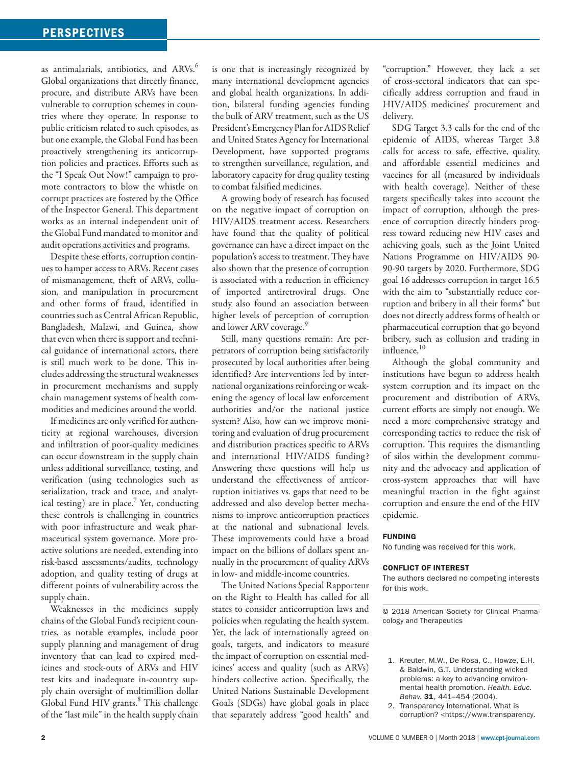as antimalarials, antibiotics, and ARVs.<sup>6</sup> Global organizations that directly finance, procure, and distribute ARVs have been vulnerable to corruption schemes in countries where they operate. In response to public criticism related to such episodes, as but one example, the Global Fund has been proactively strengthening its anticorruption policies and practices. Efforts such as the "I Speak Out Now!" campaign to promote contractors to blow the whistle on corrupt practices are fostered by the Office of the Inspector General. This department works as an internal independent unit of the Global Fund mandated to monitor and audit operations activities and programs.

Despite these efforts, corruption continues to hamper access to ARVs. Recent cases of mismanagement, theft of ARVs, collusion, and manipulation in procurement and other forms of fraud, identified in countries such as Central African Republic, Bangladesh, Malawi, and Guinea, show that even when there is support and technical guidance of international actors, there is still much work to be done. This includes addressing the structural weaknesses in procurement mechanisms and supply chain management systems of health commodities and medicines around the world.

If medicines are only verified for authenticity at regional warehouses, diversion and infiltration of poor-quality medicines can occur downstream in the supply chain unless additional surveillance, testing, and verification (using technologies such as serialization, track and trace, and analytical testing) are in place. $\frac{7}{7}$  Yet, conducting these controls is challenging in countries with poor infrastructure and weak pharmaceutical system governance. More proactive solutions are needed, extending into risk-based assessments/audits, technology adoption, and quality testing of drugs at different points of vulnerability across the supply chain.

Weaknesses in the medicines supply chains of the Global Fund's recipient countries, as notable examples, include poor supply planning and management of drug inventory that can lead to expired medicines and stock-outs of ARVs and HIV test kits and inadequate in-country supply chain oversight of multimillion dollar Global Fund HIV grants.<sup>8</sup> This challenge of the "last mile" in the health supply chain

is one that is increasingly recognized by many international development agencies and global health organizations. In addition, bilateral funding agencies funding the bulk of ARV treatment, such as the US President's Emergency Plan for AIDS Relief and United States Agency for International Development, have supported programs to strengthen surveillance, regulation, and laboratory capacity for drug quality testing to combat falsified medicines.

A growing body of research has focused on the negative impact of corruption on HIV/AIDS treatment access. Researchers have found that the quality of political governance can have a direct impact on the population's access to treatment. They have also shown that the presence of corruption is associated with a reduction in efficiency of imported antiretroviral drugs. One study also found an association between higher levels of perception of corruption and lower ARV coverage.<sup>9</sup>

Still, many questions remain: Are perpetrators of corruption being satisfactorily prosecuted by local authorities after being identified? Are interventions led by international organizations reinforcing or weakening the agency of local law enforcement authorities and/or the national justice system? Also, how can we improve monitoring and evaluation of drug procurement and distribution practices specific to ARVs and international HIV/AIDS funding? Answering these questions will help us understand the effectiveness of anticorruption initiatives vs. gaps that need to be addressed and also develop better mechanisms to improve anticorruption practices at the national and subnational levels. These improvements could have a broad impact on the billions of dollars spent annually in the procurement of quality ARVs in low- and middle-income countries.

The United Nations Special Rapporteur on the Right to Health has called for all states to consider anticorruption laws and policies when regulating the health system. Yet, the lack of internationally agreed on goals, targets, and indicators to measure the impact of corruption on essential medicines' access and quality (such as ARVs) hinders collective action. Specifically, the United Nations Sustainable Development Goals (SDGs) have global goals in place that separately address "good health" and

"corruption." However, they lack a set of cross-sectoral indicators that can specifically address corruption and fraud in HIV/AIDS medicines' procurement and delivery.

SDG Target 3.3 calls for the end of the epidemic of AIDS, whereas Target 3.8 calls for access to safe, effective, quality, and affordable essential medicines and vaccines for all (measured by individuals with health coverage). Neither of these targets specifically takes into account the impact of corruption, although the presence of corruption directly hinders progress toward reducing new HIV cases and achieving goals, such as the Joint United Nations Programme on HIV/AIDS 90- 90-90 targets by 2020. Furthermore, SDG goal 16 addresses corruption in target 16.5 with the aim to "substantially reduce corruption and bribery in all their forms" but does not directly address forms of health or pharmaceutical corruption that go beyond bribery, such as collusion and trading in influence.10

Although the global community and institutions have begun to address health system corruption and its impact on the procurement and distribution of ARVs, current efforts are simply not enough. We need a more comprehensive strategy and corresponding tactics to reduce the risk of corruption. This requires the dismantling of silos within the development community and the advocacy and application of cross-system approaches that will have meaningful traction in the fight against corruption and ensure the end of the HIV epidemic.

#### FUNDING

No funding was received for this work.

#### CONFLICT OF INTEREST

The authors declared no competing interests for this work.

© 2018 American Society for Clinical Pharmacology and Therapeutics

- 1. Kreuter, M.W., De Rosa, C., Howze, E.H. & Baldwin, G.T. Understanding wicked problems: a key to advancing environmental health promotion. *Health. Educ. Behav.* 31, 441–454 (2004).
- 2. Transparency International. What is corruption? [<https://www.transparency.](https://www.transparency.org/what-is-corruption)